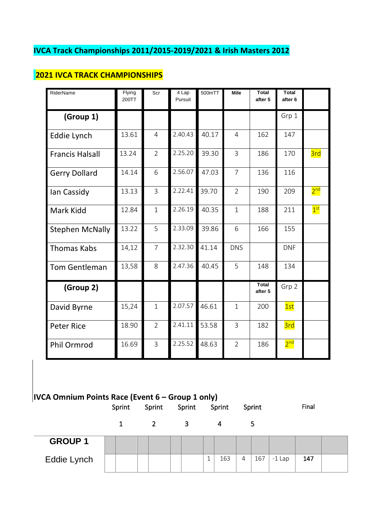# **IVCA Track Championships 2011/2015-2019/2021 & Irish Masters 2012**

# **2021 IVCA TRACK CHAMPIONSHIPS**

| RiderName              | Flying<br>200TT | Scr            | 4 Lap<br>Pursuit | 500mTT | Mile           | <b>Total</b><br>after 5 | <b>Total</b><br>after <sub>6</sub> |                 |
|------------------------|-----------------|----------------|------------------|--------|----------------|-------------------------|------------------------------------|-----------------|
| (Group 1)              |                 |                |                  |        |                |                         | Grp 1                              |                 |
| Eddie Lynch            | 13.61           | $\overline{4}$ | 2.40.43          | 40.17  | $\overline{4}$ | 162                     | 147                                |                 |
| <b>Francis Halsall</b> | 13.24           | $\overline{2}$ | 2.25.20          | 39.30  | $\overline{3}$ | 186                     | 170                                | 3rd             |
| <b>Gerry Dollard</b>   | 14.14           | 6              | 2.56.07          | 47.03  | $\overline{7}$ | 136                     | 116                                |                 |
| Ian Cassidy            | 13.13           | $\overline{3}$ | 2.22.41          | 39.70  | $\overline{2}$ | 190                     | 209                                | 2 <sup>nd</sup> |
| Mark Kidd              | 12.84           | $\mathbf{1}$   | 2.26.19          | 40.35  | $\mathbf{1}$   | 188                     | 211                                | 1 <sup>st</sup> |
| <b>Stephen McNally</b> | 13.22           | 5              | 2.33.09          | 39.86  | 6              | 166                     | 155                                |                 |
| <b>Thomas Kabs</b>     | 14,12           | $\overline{7}$ | 2.32.30          | 41.14  | <b>DNS</b>     |                         | <b>DNF</b>                         |                 |
| Tom Gentleman          | 13,58           | 8              | 2.47.36          | 40.45  | 5              | 148                     | 134                                |                 |
| (Group 2)              |                 |                |                  |        |                | <b>Total</b><br>after 5 | Grp 2                              |                 |
| David Byrne            | 15,24           | $\mathbf{1}$   | 2.07.57          | 46.61  | $\mathbf{1}$   | 200                     | 1st                                |                 |
| <b>Peter Rice</b>      | 18.90           | $\overline{2}$ | 2.41.11          | 53.58  | 3              | 182                     | 3rd                                |                 |
| Phil Ormrod            | 16.69           | $\overline{3}$ | 2.25.52          | 48.63  | $\overline{2}$ | 186                     | 2 <sup>nd</sup>                    |                 |

# **IVCA Omnium Points Race (Event 6 – Group 1 only)**

|                | Sprint | Sprint | Sprint | Sprint | Sprint   | Final           |
|----------------|--------|--------|--------|--------|----------|-----------------|
|                |        |        | з      | 4      | 5        |                 |
| <b>GROUP 1</b> |        |        |        |        |          |                 |
| Eddie Lynch    |        |        |        | 163    | 167<br>4 | 147<br>$-1$ Lap |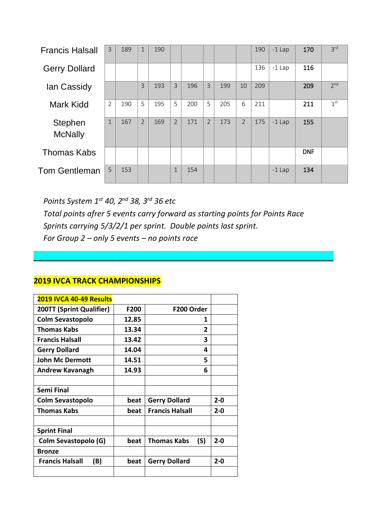| <b>Francis Halsall</b>    | 3            | 189 | $\mathbf{1}$   | 190 |                |     |                |     |                | 190 | $-1$ Lap | 170        | 3 <sup>rd</sup> |
|---------------------------|--------------|-----|----------------|-----|----------------|-----|----------------|-----|----------------|-----|----------|------------|-----------------|
| <b>Gerry Dollard</b>      |              |     |                |     |                |     |                |     |                | 136 | $-1$ Lap | 116        |                 |
| lan Cassidy               |              |     | 3              | 193 | $\overline{3}$ | 196 | $\overline{3}$ | 199 | 10             | 209 |          | 209        | 2 <sup>nd</sup> |
| Mark Kidd                 | 2            | 190 | 5              | 195 | 5              | 200 | 5              | 205 | 6              | 211 |          | 211        | 1 <sup>st</sup> |
| Stephen<br><b>McNally</b> | $\mathbf{1}$ | 167 | $\overline{2}$ | 169 | $\overline{2}$ | 171 | 2              | 173 | $\overline{2}$ | 175 | $-1$ Lap | 155        |                 |
| <b>Thomas Kabs</b>        |              |     |                |     |                |     |                |     |                |     |          | <b>DNF</b> |                 |
| <b>Tom Gentleman</b>      | 5            | 153 |                |     | $\mathbf{1}$   | 154 |                |     |                |     | $-1$ Lap | 134        |                 |

 *Points System 1st 40, 2nd 38, 3rd 36 etc Total points afrer 5 events carry forward as starting points for Points Race Sprints carrying 5/3/2/1 per sprint. Double points last sprint. For Group 2 – only 5 events – no points race*

**\_\_\_\_\_\_\_\_\_\_\_\_\_\_\_\_\_\_\_\_\_\_\_\_\_\_\_\_\_\_\_\_\_\_\_\_\_\_\_\_\_\_\_\_\_\_\_\_\_\_\_\_\_\_\_\_\_\_\_\_\_\_\_\_\_\_\_\_\_**

| 2019 IVCA 40-49 Results       |       |                           |         |
|-------------------------------|-------|---------------------------|---------|
| 200TT (Sprint Qualifier)      | F200  | F200 Order                |         |
| <b>Colm Sevastopolo</b>       | 12.85 | 1                         |         |
| <b>Thomas Kabs</b>            | 13.34 | 2                         |         |
| <b>Francis Halsall</b>        | 13.42 | 3                         |         |
| <b>Gerry Dollard</b>          | 14.04 | 4                         |         |
| <b>John Mc Dermott</b>        | 14.51 | 5                         |         |
| <b>Andrew Kavanagh</b>        | 14.93 | 6                         |         |
|                               |       |                           |         |
| Semi Final                    |       |                           |         |
| Colm Sevastopolo              | beat  | <b>Gerry Dollard</b>      | $2 - 0$ |
| Thomas Kabs                   | beat  | <b>Francis Halsall</b>    | $2 - 0$ |
|                               |       |                           |         |
| <b>Sprint Final</b>           |       |                           |         |
| Colm Sevastopolo (G)          | beat  | <b>Thomas Kabs</b><br>(S) | $2 - 0$ |
| Bronze                        |       |                           |         |
| <b>Francis Halsall</b><br>(B) | beat  | <b>Gerry Dollard</b>      | $2 - 0$ |
|                               |       |                           |         |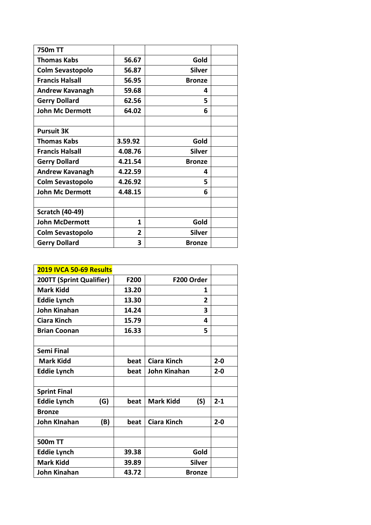| <b>750m TT</b>          |                |               |  |
|-------------------------|----------------|---------------|--|
| Thomas Kabs             | 56.67          | Gold          |  |
| <b>Colm Sevastopolo</b> | 56.87          | <b>Silver</b> |  |
| <b>Francis Halsall</b>  | 56.95          | <b>Bronze</b> |  |
| <b>Andrew Kavanagh</b>  | 59.68          | 4             |  |
| <b>Gerry Dollard</b>    | 62.56          | 5             |  |
| <b>John Mc Dermott</b>  | 64.02          | 6             |  |
|                         |                |               |  |
| <b>Pursuit 3K</b>       |                |               |  |
| Thomas Kabs             | 3.59.92        | Gold          |  |
| <b>Francis Halsall</b>  | 4.08.76        | <b>Silver</b> |  |
| <b>Gerry Dollard</b>    | 4.21.54        | <b>Bronze</b> |  |
| <b>Andrew Kavanagh</b>  | 4.22.59        | 4             |  |
| <b>Colm Sevastopolo</b> | 4.26.92        | 5             |  |
| <b>John Mc Dermott</b>  | 4.48.15        | 6             |  |
|                         |                |               |  |
| <b>Scratch (40-49)</b>  |                |               |  |
| <b>John McDermott</b>   | 1              | Gold          |  |
| <b>Colm Sevastopolo</b> | $\overline{2}$ | <b>Silver</b> |  |
| <b>Gerry Dollard</b>    | 3              | <b>Bronze</b> |  |

| 2019 IVCA 50-69 Results    |       |                         |         |
|----------------------------|-------|-------------------------|---------|
| 200TT (Sprint Qualifier)   | F200  | F200 Order              |         |
| <b>Mark Kidd</b>           | 13.20 | 1                       |         |
| <b>Eddie Lynch</b>         | 13.30 | $\mathbf{2}$            |         |
| <b>John Kinahan</b>        | 14.24 | 3                       |         |
| <b>Ciara Kinch</b>         | 15.79 | 4                       |         |
| <b>Brian Coonan</b>        | 16.33 | 5                       |         |
|                            |       |                         |         |
| <b>Semi Final</b>          |       |                         |         |
| <b>Mark Kidd</b>           | beat  | <b>Ciara Kinch</b>      | $2 - 0$ |
| <b>Eddie Lynch</b>         | beat  | John Kinahan            | $2 - 0$ |
|                            |       |                         |         |
| <b>Sprint Final</b>        |       |                         |         |
| <b>Eddie Lynch</b><br>(G)  | beat  | <b>Mark Kidd</b><br>(S) | $2 - 1$ |
| <b>Bronze</b>              |       |                         |         |
| <b>John Kinahan</b><br>(B) | beat  | <b>Ciara Kinch</b>      | $2 - 0$ |
|                            |       |                         |         |
| 500m TT                    |       |                         |         |
| <b>Eddie Lynch</b>         | 39.38 | Gold                    |         |
| <b>Mark Kidd</b>           | 39.89 | <b>Silver</b>           |         |
| <b>John Kinahan</b>        | 43.72 | <b>Bronze</b>           |         |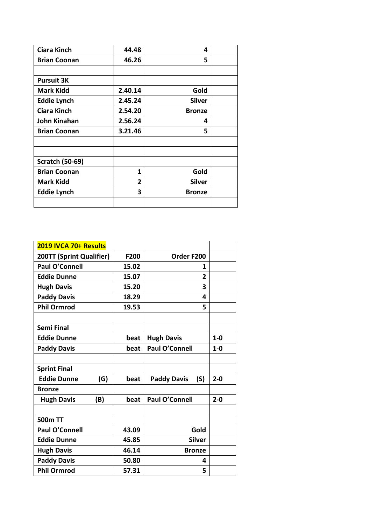| <b>Ciara Kinch</b>     | 44.48        | 4             |  |
|------------------------|--------------|---------------|--|
| <b>Brian Coonan</b>    | 46.26        | 5             |  |
|                        |              |               |  |
| <b>Pursuit 3K</b>      |              |               |  |
| <b>Mark Kidd</b>       | 2.40.14      | Gold          |  |
| <b>Eddie Lynch</b>     | 2.45.24      | <b>Silver</b> |  |
| <b>Ciara Kinch</b>     | 2.54.20      | <b>Bronze</b> |  |
| <b>John Kinahan</b>    | 2.56.24      | 4             |  |
| <b>Brian Coonan</b>    | 3.21.46      | 5             |  |
|                        |              |               |  |
|                        |              |               |  |
| <b>Scratch (50-69)</b> |              |               |  |
| <b>Brian Coonan</b>    | 1            | Gold          |  |
| <b>Mark Kidd</b>       | $\mathbf{2}$ | <b>Silver</b> |  |
| <b>Eddie Lynch</b>     | 3            | <b>Bronze</b> |  |
|                        |              |               |  |

| 2019 IVCA 70+ Results     |       |                           |         |
|---------------------------|-------|---------------------------|---------|
| 200TT (Sprint Qualifier)  | F200  | Order F200                |         |
| <b>Paul O'Connell</b>     | 15.02 | 1                         |         |
| <b>Eddie Dunne</b>        | 15.07 | $\mathbf{2}$              |         |
| <b>Hugh Davis</b>         | 15.20 | 3                         |         |
| <b>Paddy Davis</b>        | 18.29 | 4                         |         |
| <b>Phil Ormrod</b>        | 19.53 | 5                         |         |
|                           |       |                           |         |
| <b>Semi Final</b>         |       |                           |         |
| <b>Eddie Dunne</b>        | beat  | <b>Hugh Davis</b>         | $1-0$   |
| <b>Paddy Davis</b>        | beat  | <b>Paul O'Connell</b>     | $1 - 0$ |
|                           |       |                           |         |
| <b>Sprint Final</b>       |       |                           |         |
| <b>Eddie Dunne</b><br>(G) | beat  | <b>Paddy Davis</b><br>(S) | $2 - 0$ |
| <b>Bronze</b>             |       |                           |         |
| <b>Hugh Davis</b><br>(B)  | beat  | <b>Paul O'Connell</b>     | $2 - 0$ |
|                           |       |                           |         |
| 500m TT                   |       |                           |         |
| <b>Paul O'Connell</b>     | 43.09 | Gold                      |         |
| <b>Eddie Dunne</b>        | 45.85 | <b>Silver</b>             |         |
| <b>Hugh Davis</b>         | 46.14 | <b>Bronze</b>             |         |
| <b>Paddy Davis</b>        | 50.80 | 4                         |         |
| <b>Phil Ormrod</b>        | 57.31 | 5                         |         |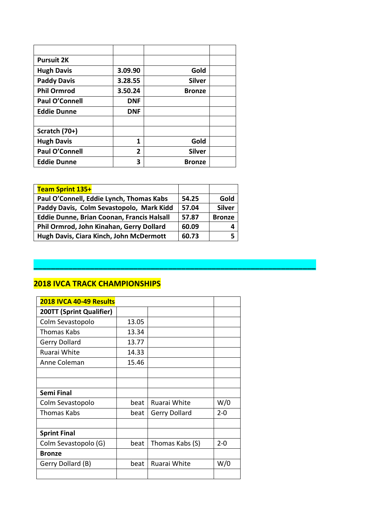| <b>Pursuit 2K</b>     |                |               |  |
|-----------------------|----------------|---------------|--|
| <b>Hugh Davis</b>     | 3.09.90        | Gold          |  |
| <b>Paddy Davis</b>    | 3.28.55        | <b>Silver</b> |  |
| <b>Phil Ormrod</b>    | 3.50.24        | <b>Bronze</b> |  |
| Paul O'Connell        | <b>DNF</b>     |               |  |
| <b>Eddie Dunne</b>    | <b>DNF</b>     |               |  |
|                       |                |               |  |
| Scratch (70+)         |                |               |  |
| <b>Hugh Davis</b>     | 1              | Gold          |  |
| <b>Paul O'Connell</b> | $\overline{2}$ | <b>Silver</b> |  |
| <b>Eddie Dunne</b>    | 3              | <b>Bronze</b> |  |

| Team Sprint 135+                                  |       |               |
|---------------------------------------------------|-------|---------------|
| Paul O'Connell, Eddie Lynch, Thomas Kabs          | 54.25 | Gold          |
| Paddy Davis, Colm Sevastopolo, Mark Kidd          | 57.04 | <b>Silver</b> |
| <b>Eddie Dunne, Brian Coonan, Francis Halsall</b> | 57.87 | <b>Bronze</b> |
| Phil Ormrod, John Kinahan, Gerry Dollard          | 60.09 |               |
| Hugh Davis, Ciara Kinch, John McDermott           | 60.73 |               |

**\_\_\_\_\_\_\_\_\_\_\_\_\_\_\_\_\_\_\_\_\_\_\_\_\_\_\_\_\_\_\_\_\_\_\_\_\_\_\_\_\_\_\_\_\_\_\_\_\_\_\_\_\_\_\_\_\_\_\_\_\_\_\_\_\_**

| 2018 IVCA 40-49 Results  |       |                 |         |
|--------------------------|-------|-----------------|---------|
| 200TT (Sprint Qualifier) |       |                 |         |
| Colm Sevastopolo         | 13.05 |                 |         |
| <b>Thomas Kabs</b>       | 13.34 |                 |         |
| Gerry Dollard            | 13.77 |                 |         |
| Ruarai White             | 14.33 |                 |         |
| Anne Coleman             | 15.46 |                 |         |
|                          |       |                 |         |
|                          |       |                 |         |
| Semi Final               |       |                 |         |
| Colm Sevastopolo         | beat  | Ruarai White    | W/0     |
| Thomas Kabs              | beat  | Gerry Dollard   | $2 - 0$ |
|                          |       |                 |         |
| <b>Sprint Final</b>      |       |                 |         |
| Colm Sevastopolo (G)     | beat  | Thomas Kabs (S) | $2 - 0$ |
| <b>Bronze</b>            |       |                 |         |
| Gerry Dollard (B)        | beat  | Ruarai White    | W/0     |
|                          |       |                 |         |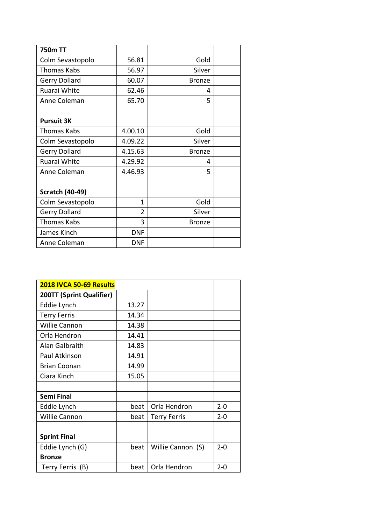| <b>750m TT</b>         |                |               |  |
|------------------------|----------------|---------------|--|
| Colm Sevastopolo       | 56.81          | Gold          |  |
| Thomas Kabs            | 56.97          | Silver        |  |
| Gerry Dollard          | 60.07          | <b>Bronze</b> |  |
| Ruarai White           | 62.46          | 4             |  |
| Anne Coleman           | 65.70          | 5             |  |
|                        |                |               |  |
| <b>Pursuit 3K</b>      |                |               |  |
| <b>Thomas Kabs</b>     | 4.00.10        | Gold          |  |
| Colm Sevastopolo       | 4.09.22        | Silver        |  |
| <b>Gerry Dollard</b>   | 4.15.63        | <b>Bronze</b> |  |
| Ruarai White           | 4.29.92        | 4             |  |
| Anne Coleman           | 4.46.93        | 5             |  |
|                        |                |               |  |
| <b>Scratch (40-49)</b> |                |               |  |
| Colm Sevastopolo       | 1              | Gold          |  |
| <b>Gerry Dollard</b>   | $\overline{2}$ | Silver        |  |
| <b>Thomas Kabs</b>     | 3              | <b>Bronze</b> |  |
| James Kinch            | <b>DNF</b>     |               |  |
| Anne Coleman           | <b>DNF</b>     |               |  |

| 2018 IVCA 50-69 Results  |       |                     |         |  |
|--------------------------|-------|---------------------|---------|--|
| 200TT (Sprint Qualifier) |       |                     |         |  |
| Eddie Lynch              | 13.27 |                     |         |  |
| <b>Terry Ferris</b>      | 14.34 |                     |         |  |
| <b>Willie Cannon</b>     | 14.38 |                     |         |  |
| Orla Hendron             | 14.41 |                     |         |  |
| Alan Galbraith           | 14.83 |                     |         |  |
| Paul Atkinson            | 14.91 |                     |         |  |
| <b>Brian Coonan</b>      | 14.99 |                     |         |  |
| Ciara Kinch              | 15.05 |                     |         |  |
|                          |       |                     |         |  |
| Semi Final               |       |                     |         |  |
| Eddie Lynch              | beat  | Orla Hendron        | $2 - 0$ |  |
| <b>Willie Cannon</b>     | beat  | <b>Terry Ferris</b> | $2 - 0$ |  |
|                          |       |                     |         |  |
| <b>Sprint Final</b>      |       |                     |         |  |
| Eddie Lynch (G)          | beat  | Willie Cannon (S)   | $2 - 0$ |  |
| <b>Bronze</b>            |       |                     |         |  |
| Terry Ferris (B)         | beat  | Orla Hendron        | $2 - 0$ |  |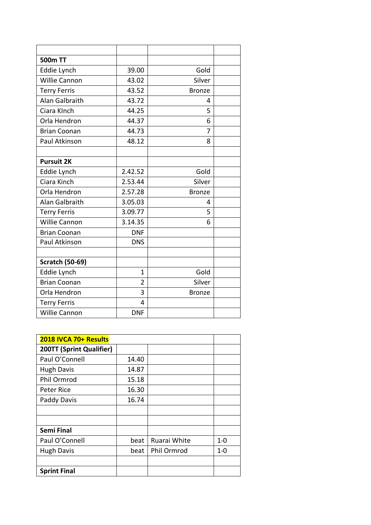| 500m TT                |                |               |  |
|------------------------|----------------|---------------|--|
| Eddie Lynch            | 39.00          | Gold          |  |
| Willie Cannon          | 43.02          | Silver        |  |
| <b>Terry Ferris</b>    | 43.52          | <b>Bronze</b> |  |
| Alan Galbraith         | 43.72          | 4             |  |
| Ciara KInch            | 44.25          | 5             |  |
| Orla Hendron           | 44.37          | 6             |  |
| <b>Brian Coonan</b>    | 44.73          | 7             |  |
| Paul Atkinson          | 48.12          | 8             |  |
|                        |                |               |  |
| <b>Pursuit 2K</b>      |                |               |  |
| Eddie Lynch            | 2.42.52        | Gold          |  |
| Ciara Kinch            | 2.53.44        | Silver        |  |
| Orla Hendron           | 2.57.28        | <b>Bronze</b> |  |
| Alan Galbraith         | 3.05.03        | 4             |  |
| <b>Terry Ferris</b>    | 3.09.77        | 5             |  |
| Willie Cannon          | 3.14.35        | 6             |  |
| <b>Brian Coonan</b>    | <b>DNF</b>     |               |  |
| Paul Atkinson          | <b>DNS</b>     |               |  |
|                        |                |               |  |
| <b>Scratch (50-69)</b> |                |               |  |
| Eddie Lynch            | $\mathbf{1}$   | Gold          |  |
| <b>Brian Coonan</b>    | $\overline{2}$ | Silver        |  |
| Orla Hendron           | 3              | <b>Bronze</b> |  |
| <b>Terry Ferris</b>    | 4              |               |  |
| Willie Cannon          | <b>DNF</b>     |               |  |

| 2018 IVCA 70+ Results    |       |              |         |
|--------------------------|-------|--------------|---------|
| 200TT (Sprint Qualifier) |       |              |         |
| Paul O'Connell           | 14.40 |              |         |
| <b>Hugh Davis</b>        | 14.87 |              |         |
| Phil Ormrod              | 15.18 |              |         |
| Peter Rice               | 16.30 |              |         |
| Paddy Davis              | 16.74 |              |         |
|                          |       |              |         |
|                          |       |              |         |
| <b>Semi Final</b>        |       |              |         |
| Paul O'Connell           | beat  | Ruarai White | $1 - 0$ |
| <b>Hugh Davis</b>        | beat  | Phil Ormrod  | $1 - 0$ |
|                          |       |              |         |
| <b>Sprint Final</b>      |       |              |         |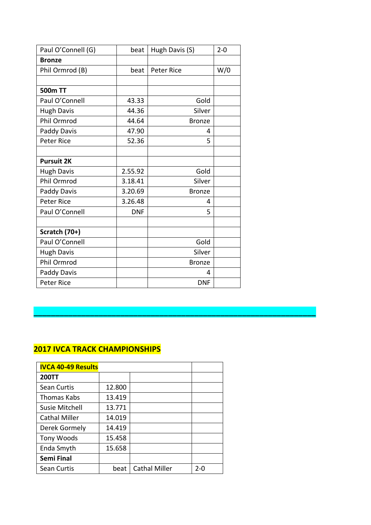| Paul O'Connell (G) | beat       | Hugh Davis (S)    | $2 - 0$ |
|--------------------|------------|-------------------|---------|
| <b>Bronze</b>      |            |                   |         |
| Phil Ormrod (B)    | beat       | <b>Peter Rice</b> | W/0     |
|                    |            |                   |         |
| 500m TT            |            |                   |         |
| Paul O'Connell     | 43.33      | Gold              |         |
| <b>Hugh Davis</b>  | 44.36      | Silver            |         |
| Phil Ormrod        | 44.64      | <b>Bronze</b>     |         |
| Paddy Davis        | 47.90      | 4                 |         |
| <b>Peter Rice</b>  | 52.36      | 5                 |         |
|                    |            |                   |         |
| <b>Pursuit 2K</b>  |            |                   |         |
| <b>Hugh Davis</b>  | 2.55.92    | Gold              |         |
| Phil Ormrod        | 3.18.41    | Silver            |         |
| Paddy Davis        | 3.20.69    | <b>Bronze</b>     |         |
| <b>Peter Rice</b>  | 3.26.48    | 4                 |         |
| Paul O'Connell     | <b>DNF</b> | 5                 |         |
|                    |            |                   |         |
| Scratch (70+)      |            |                   |         |
| Paul O'Connell     |            | Gold              |         |
| <b>Hugh Davis</b>  |            | Silver            |         |
| Phil Ormrod        |            | <b>Bronze</b>     |         |
| Paddy Davis        |            | 4                 |         |
| <b>Peter Rice</b>  |            | <b>DNF</b>        |         |

| <b>IVCA 40-49 Results</b> |        |                      |     |
|---------------------------|--------|----------------------|-----|
| <b>200TT</b>              |        |                      |     |
| Sean Curtis               | 12.800 |                      |     |
| Thomas Kabs               | 13.419 |                      |     |
| Susie Mitchell            | 13.771 |                      |     |
| <b>Cathal Miller</b>      | 14.019 |                      |     |
| Derek Gormely             | 14.419 |                      |     |
| Tony Woods                | 15.458 |                      |     |
| Enda Smyth                | 15.658 |                      |     |
| <b>Semi Final</b>         |        |                      |     |
| <b>Sean Curtis</b>        | beat   | <b>Cathal Miller</b> | 2-0 |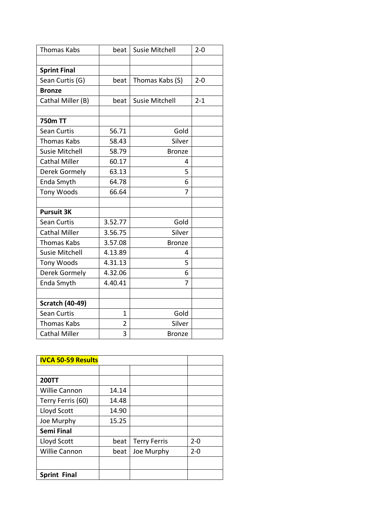| <b>Thomas Kabs</b>     | beat           | <b>Susie Mitchell</b> | $2 - 0$ |
|------------------------|----------------|-----------------------|---------|
|                        |                |                       |         |
| <b>Sprint Final</b>    |                |                       |         |
| Sean Curtis (G)        | beat           | Thomas Kabs (S)       | $2 - 0$ |
| <b>Bronze</b>          |                |                       |         |
| Cathal Miller (B)      | beat           | <b>Susie Mitchell</b> | $2 - 1$ |
|                        |                |                       |         |
| 750m TT                |                |                       |         |
| <b>Sean Curtis</b>     | 56.71          | Gold                  |         |
| <b>Thomas Kabs</b>     | 58.43          | Silver                |         |
| <b>Susie Mitchell</b>  | 58.79          | <b>Bronze</b>         |         |
| <b>Cathal Miller</b>   | 60.17          | 4                     |         |
| Derek Gormely          | 63.13          | 5                     |         |
| Enda Smyth             | 64.78          | 6                     |         |
| <b>Tony Woods</b>      | 66.64          | 7                     |         |
|                        |                |                       |         |
| <b>Pursuit 3K</b>      |                |                       |         |
| <b>Sean Curtis</b>     | 3.52.77        | Gold                  |         |
| <b>Cathal Miller</b>   | 3.56.75        | Silver                |         |
| <b>Thomas Kabs</b>     | 3.57.08        | <b>Bronze</b>         |         |
| <b>Susie Mitchell</b>  | 4.13.89        | 4                     |         |
| Tony Woods             | 4.31.13        | 5                     |         |
| Derek Gormely          | 4.32.06        | 6                     |         |
| Enda Smyth             | 4.40.41        | 7                     |         |
|                        |                |                       |         |
| <b>Scratch (40-49)</b> |                |                       |         |
| <b>Sean Curtis</b>     | $\mathbf 1$    | Gold                  |         |
| <b>Thomas Kabs</b>     | $\overline{2}$ | Silver                |         |
| <b>Cathal Miller</b>   | 3              | <b>Bronze</b>         |         |

| <b>IVCA 50-59 Results</b> |       |                     |         |
|---------------------------|-------|---------------------|---------|
|                           |       |                     |         |
| <b>200TT</b>              |       |                     |         |
| <b>Willie Cannon</b>      | 14.14 |                     |         |
| Terry Ferris (60)         | 14.48 |                     |         |
| Lloyd Scott               | 14.90 |                     |         |
| Joe Murphy                | 15.25 |                     |         |
| <b>Semi Final</b>         |       |                     |         |
| Lloyd Scott               | beat  | <b>Terry Ferris</b> | $2 - 0$ |
| <b>Willie Cannon</b>      | beat  | Joe Murphy          | $2 - 0$ |
|                           |       |                     |         |
| <b>Sprint Final</b>       |       |                     |         |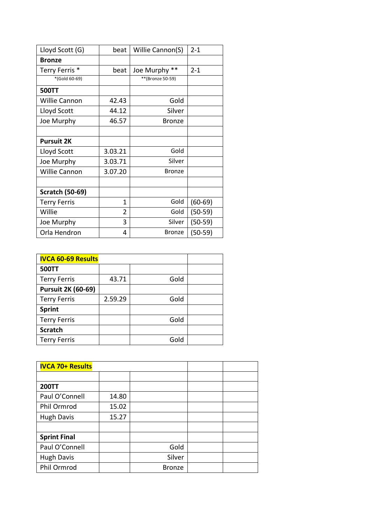| Lloyd Scott (G)        | beat           | Willie Cannon(S)    | $2 - 1$   |
|------------------------|----------------|---------------------|-----------|
| <b>Bronze</b>          |                |                     |           |
| Terry Ferris *         | beat           | $***$<br>Joe Murphy | $2 - 1$   |
| *(Gold 60-69)          |                | **(Bronze 50-59)    |           |
| <b>500TT</b>           |                |                     |           |
| <b>Willie Cannon</b>   | 42.43          | Gold                |           |
| Lloyd Scott            | 44.12          | Silver              |           |
| Joe Murphy             | 46.57          | <b>Bronze</b>       |           |
|                        |                |                     |           |
| <b>Pursuit 2K</b>      |                |                     |           |
| Lloyd Scott            | 3.03.21        | Gold                |           |
| Joe Murphy             | 3.03.71        | Silver              |           |
| <b>Willie Cannon</b>   | 3.07.20        | <b>Bronze</b>       |           |
|                        |                |                     |           |
| <b>Scratch (50-69)</b> |                |                     |           |
| <b>Terry Ferris</b>    | 1              | Gold                | $(60-69)$ |
| Willie                 | $\overline{2}$ | Gold                | $(50-59)$ |
| Joe Murphy             | 3              | Silver              | $(50-59)$ |
| Orla Hendron           | 4              | <b>Bronze</b>       | $(50-59)$ |

| <b>IVCA 60-69 Results</b> |         |      |  |
|---------------------------|---------|------|--|
| <b>500TT</b>              |         |      |  |
| <b>Terry Ferris</b>       | 43.71   | Gold |  |
| <b>Pursuit 2K (60-69)</b> |         |      |  |
| <b>Terry Ferris</b>       | 2.59.29 | Gold |  |
| <b>Sprint</b>             |         |      |  |
| <b>Terry Ferris</b>       |         | Gold |  |
| <b>Scratch</b>            |         |      |  |
| <b>Terry Ferris</b>       |         | Gold |  |

| <b>IVCA 70+ Results</b> |       |               |  |
|-------------------------|-------|---------------|--|
|                         |       |               |  |
| <b>200TT</b>            |       |               |  |
| Paul O'Connell          | 14.80 |               |  |
| Phil Ormrod             | 15.02 |               |  |
| <b>Hugh Davis</b>       | 15.27 |               |  |
|                         |       |               |  |
| <b>Sprint Final</b>     |       |               |  |
| Paul O'Connell          |       | Gold          |  |
| <b>Hugh Davis</b>       |       | Silver        |  |
| Phil Ormrod             |       | <b>Bronze</b> |  |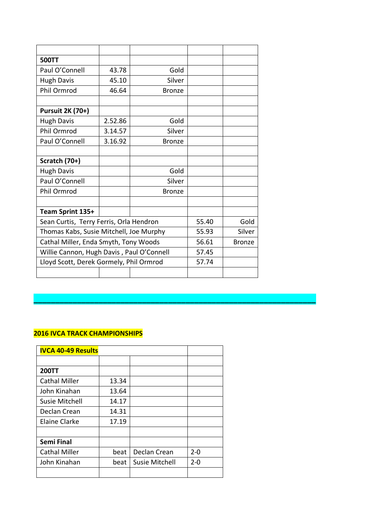| <b>500TT</b>                              |         |               |       |               |
|-------------------------------------------|---------|---------------|-------|---------------|
| Paul O'Connell                            | 43.78   | Gold          |       |               |
| <b>Hugh Davis</b>                         | 45.10   | Silver        |       |               |
| Phil Ormrod                               | 46.64   | <b>Bronze</b> |       |               |
|                                           |         |               |       |               |
| <b>Pursuit 2K (70+)</b>                   |         |               |       |               |
| <b>Hugh Davis</b>                         | 2.52.86 | Gold          |       |               |
| Phil Ormrod                               | 3.14.57 | Silver        |       |               |
| Paul O'Connell                            | 3.16.92 | <b>Bronze</b> |       |               |
|                                           |         |               |       |               |
| Scratch (70+)                             |         |               |       |               |
| <b>Hugh Davis</b>                         |         | Gold          |       |               |
| Paul O'Connell                            |         | Silver        |       |               |
| Phil Ormrod                               |         | <b>Bronze</b> |       |               |
|                                           |         |               |       |               |
| Team Sprint 135+                          |         |               |       |               |
| Sean Curtis, Terry Ferris, Orla Hendron   |         |               | 55.40 | Gold          |
| Thomas Kabs, Susie Mitchell, Joe Murphy   |         |               | 55.93 | Silver        |
| Cathal Miller, Enda Smyth, Tony Woods     |         |               | 56.61 | <b>Bronze</b> |
| Willie Cannon, Hugh Davis, Paul O'Connell |         |               | 57.45 |               |
| Lloyd Scott, Derek Gormely, Phil Ormrod   |         |               | 57.74 |               |
|                                           |         |               |       |               |

**\_\_\_\_\_\_\_\_\_\_\_\_\_\_\_\_\_\_\_\_\_\_\_\_\_\_\_\_\_\_\_\_\_\_\_\_\_\_\_\_\_\_\_\_\_\_\_\_\_\_\_\_\_\_\_\_\_\_\_\_\_\_\_\_\_**

| <b>IVCA 40-49 Results</b> |       |                       |         |
|---------------------------|-------|-----------------------|---------|
|                           |       |                       |         |
| <b>200TT</b>              |       |                       |         |
| <b>Cathal Miller</b>      | 13.34 |                       |         |
| John Kinahan              | 13.64 |                       |         |
| Susie Mitchell            | 14.17 |                       |         |
| Declan Crean              | 14.31 |                       |         |
| <b>Elaine Clarke</b>      | 17.19 |                       |         |
|                           |       |                       |         |
| <b>Semi Final</b>         |       |                       |         |
| <b>Cathal Miller</b>      | beat  | Declan Crean          | $2 - 0$ |
| John Kinahan              | beat  | <b>Susie Mitchell</b> | $2 - 0$ |
|                           |       |                       |         |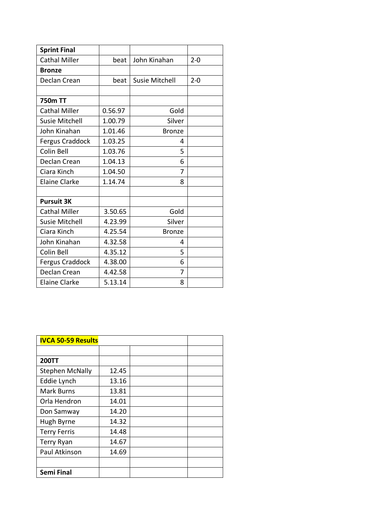| <b>Sprint Final</b>    |         |                       |         |
|------------------------|---------|-----------------------|---------|
| <b>Cathal Miller</b>   | beat    | John Kinahan          | $2 - 0$ |
| <b>Bronze</b>          |         |                       |         |
| Declan Crean           | beat    | <b>Susie Mitchell</b> | $2 - 0$ |
|                        |         |                       |         |
| <b>750m TT</b>         |         |                       |         |
| <b>Cathal Miller</b>   | 0.56.97 | Gold                  |         |
| <b>Susie Mitchell</b>  | 1.00.79 | Silver                |         |
| John Kinahan           | 1.01.46 | <b>Bronze</b>         |         |
| <b>Fergus Craddock</b> | 1.03.25 | 4                     |         |
| Colin Bell             | 1.03.76 | 5                     |         |
| Declan Crean           | 1.04.13 | 6                     |         |
| Ciara Kinch            | 1.04.50 | 7                     |         |
| <b>Elaine Clarke</b>   | 1.14.74 | 8                     |         |
|                        |         |                       |         |
| <b>Pursuit 3K</b>      |         |                       |         |
| <b>Cathal Miller</b>   | 3.50.65 | Gold                  |         |
| <b>Susie Mitchell</b>  | 4.23.99 | Silver                |         |
| Ciara Kinch            | 4.25.54 | <b>Bronze</b>         |         |
| John Kinahan           | 4.32.58 | 4                     |         |
| Colin Bell             | 4.35.12 | 5                     |         |
| Fergus Craddock        | 4.38.00 | 6                     |         |
| Declan Crean           | 4.42.58 | 7                     |         |
| <b>Elaine Clarke</b>   | 5.13.14 | 8                     |         |

| <b>IVCA 50-59 Results</b> |       |  |  |
|---------------------------|-------|--|--|
|                           |       |  |  |
| <b>200TT</b>              |       |  |  |
| <b>Stephen McNally</b>    | 12.45 |  |  |
| Eddie Lynch               | 13.16 |  |  |
| <b>Mark Burns</b>         | 13.81 |  |  |
| Orla Hendron              | 14.01 |  |  |
| Don Samway                | 14.20 |  |  |
| Hugh Byrne                | 14.32 |  |  |
| <b>Terry Ferris</b>       | 14.48 |  |  |
| Terry Ryan                | 14.67 |  |  |
| Paul Atkinson             | 14.69 |  |  |
|                           |       |  |  |
| <b>Semi Final</b>         |       |  |  |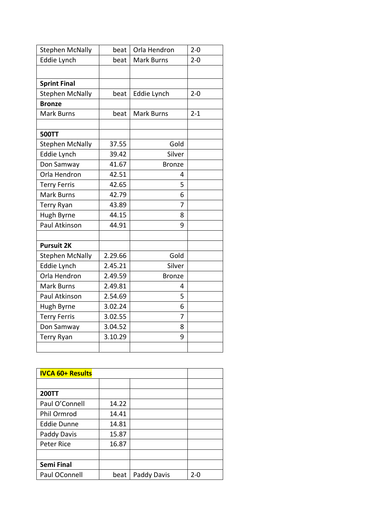| <b>Stephen McNally</b> | beat    | Orla Hendron      | $2 - 0$ |
|------------------------|---------|-------------------|---------|
| <b>Eddie Lynch</b>     | beat    | <b>Mark Burns</b> | $2 - 0$ |
|                        |         |                   |         |
| <b>Sprint Final</b>    |         |                   |         |
| <b>Stephen McNally</b> | beat    | Eddie Lynch       | $2 - 0$ |
| <b>Bronze</b>          |         |                   |         |
| <b>Mark Burns</b>      | beat    | <b>Mark Burns</b> | $2 - 1$ |
|                        |         |                   |         |
| <b>500TT</b>           |         |                   |         |
| <b>Stephen McNally</b> | 37.55   | Gold              |         |
| Eddie Lynch            | 39.42   | Silver            |         |
| Don Samway             | 41.67   | <b>Bronze</b>     |         |
| Orla Hendron           | 42.51   | 4                 |         |
| <b>Terry Ferris</b>    | 42.65   | 5                 |         |
| <b>Mark Burns</b>      | 42.79   | 6                 |         |
| <b>Terry Ryan</b>      | 43.89   | 7                 |         |
| Hugh Byrne             | 44.15   | 8                 |         |
| Paul Atkinson          | 44.91   | 9                 |         |
|                        |         |                   |         |
| <b>Pursuit 2K</b>      |         |                   |         |
| <b>Stephen McNally</b> | 2.29.66 | Gold              |         |
| Eddie Lynch            | 2.45.21 | Silver            |         |
| Orla Hendron           | 2.49.59 | <b>Bronze</b>     |         |
| <b>Mark Burns</b>      | 2.49.81 | 4                 |         |
| Paul Atkinson          | 2.54.69 | 5                 |         |
| Hugh Byrne             | 3.02.24 | 6                 |         |
| <b>Terry Ferris</b>    | 3.02.55 | 7                 |         |
| Don Samway             | 3.04.52 | 8                 |         |
| <b>Terry Ryan</b>      | 3.10.29 | 9                 |         |
|                        |         |                   |         |

| <b>IVCA 60+ Results</b> |       |             |     |
|-------------------------|-------|-------------|-----|
|                         |       |             |     |
| <b>200TT</b>            |       |             |     |
| Paul O'Connell          | 14.22 |             |     |
| Phil Ormrod             | 14.41 |             |     |
| <b>Eddie Dunne</b>      | 14.81 |             |     |
| Paddy Davis             | 15.87 |             |     |
| Peter Rice              | 16.87 |             |     |
|                         |       |             |     |
| <b>Semi Final</b>       |       |             |     |
| Paul OConnell           | beat  | Paddy Davis | 2-0 |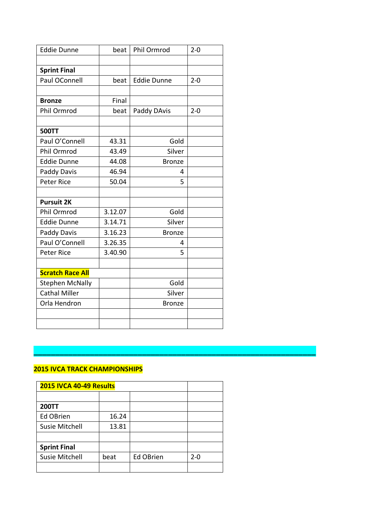| <b>Eddie Dunne</b>      | beat    | Phil Ormrod        | $2 - 0$ |
|-------------------------|---------|--------------------|---------|
|                         |         |                    |         |
| <b>Sprint Final</b>     |         |                    |         |
| Paul OConnell           | beat    | <b>Eddie Dunne</b> | $2 - 0$ |
|                         |         |                    |         |
| <b>Bronze</b>           | Final   |                    |         |
| Phil Ormrod             | beat    | Paddy DAvis        | $2 - 0$ |
|                         |         |                    |         |
| <b>500TT</b>            |         |                    |         |
| Paul O'Connell          | 43.31   | Gold               |         |
| Phil Ormrod             | 43.49   | Silver             |         |
| <b>Eddie Dunne</b>      | 44.08   | <b>Bronze</b>      |         |
| Paddy Davis             | 46.94   | 4                  |         |
| <b>Peter Rice</b>       | 50.04   | 5                  |         |
|                         |         |                    |         |
| <b>Pursuit 2K</b>       |         |                    |         |
| Phil Ormrod             | 3.12.07 | Gold               |         |
| <b>Eddie Dunne</b>      | 3.14.71 | Silver             |         |
| Paddy Davis             | 3.16.23 | <b>Bronze</b>      |         |
| Paul O'Connell          | 3.26.35 | 4                  |         |
| Peter Rice              | 3.40.90 | 5                  |         |
|                         |         |                    |         |
| <b>Scratch Race All</b> |         |                    |         |
| <b>Stephen McNally</b>  |         | Gold               |         |
| <b>Cathal Miller</b>    |         | Silver             |         |
| Orla Hendron            |         | <b>Bronze</b>      |         |
|                         |         |                    |         |
|                         |         |                    |         |

#### **2015 IVCA TRACK CHAMPIONSHIPS**

| 2015 IVCA 40-49 Results |       |                  |         |
|-------------------------|-------|------------------|---------|
|                         |       |                  |         |
| <b>200TT</b>            |       |                  |         |
| <b>Ed OBrien</b>        | 16.24 |                  |         |
| Susie Mitchell          | 13.81 |                  |         |
|                         |       |                  |         |
| <b>Sprint Final</b>     |       |                  |         |
| <b>Susie Mitchell</b>   | beat  | <b>Ed OBrien</b> | $2 - 0$ |
|                         |       |                  |         |

**\_\_\_\_\_\_\_\_\_\_\_\_\_\_\_\_\_\_\_\_\_\_\_\_\_\_\_\_\_\_\_\_\_\_\_\_\_\_\_\_\_\_\_\_\_\_\_\_\_\_\_\_\_\_\_\_\_\_\_\_\_\_\_\_\_**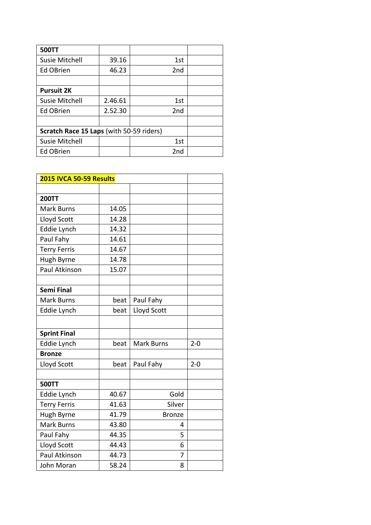| <b>500TT</b>                             |         |                 |  |
|------------------------------------------|---------|-----------------|--|
| Susie Mitchell                           | 39.16   | 1st             |  |
| <b>Ed OBrien</b>                         | 46.23   | 2nd             |  |
|                                          |         |                 |  |
| <b>Pursuit 2K</b>                        |         |                 |  |
| <b>Susie Mitchell</b>                    | 2.46.61 | 1st             |  |
| <b>Ed OBrien</b>                         | 2.52.30 | 2 <sub>nd</sub> |  |
|                                          |         |                 |  |
| Scratch Race 15 Laps (with 50-59 riders) |         |                 |  |
| <b>Susie Mitchell</b>                    |         | 1st             |  |
| <b>Ed OBrien</b>                         |         | 2nd             |  |

| 2015 IVCA 50-59 Results |       |                   |         |
|-------------------------|-------|-------------------|---------|
|                         |       |                   |         |
| <b>200TT</b>            |       |                   |         |
| <b>Mark Burns</b>       | 14.05 |                   |         |
| Lloyd Scott             | 14.28 |                   |         |
| Eddie Lynch             | 14.32 |                   |         |
| Paul Fahy               | 14.61 |                   |         |
| <b>Terry Ferris</b>     | 14.67 |                   |         |
| Hugh Byrne              | 14.78 |                   |         |
| Paul Atkinson           | 15.07 |                   |         |
|                         |       |                   |         |
| <b>Semi Final</b>       |       |                   |         |
| <b>Mark Burns</b>       | beat  | Paul Fahy         |         |
| Eddie Lynch             | beat  | Lloyd Scott       |         |
|                         |       |                   |         |
| <b>Sprint Final</b>     |       |                   |         |
| Eddie Lynch             | beat  | <b>Mark Burns</b> | $2 - 0$ |
| <b>Bronze</b>           |       |                   |         |
| Lloyd Scott             | beat  | Paul Fahy         | $2 - 0$ |
|                         |       |                   |         |
| <b>500TT</b>            |       |                   |         |
| Eddie Lynch             | 40.67 | Gold              |         |
| <b>Terry Ferris</b>     | 41.63 | Silver            |         |
| Hugh Byrne              | 41.79 | <b>Bronze</b>     |         |
| <b>Mark Burns</b>       | 43.80 | 4                 |         |
| Paul Fahy               | 44.35 | 5                 |         |
| Lloyd Scott             | 44.43 | 6                 |         |
| Paul Atkinson           | 44.73 | 7                 |         |
| John Moran              | 58.24 | 8                 |         |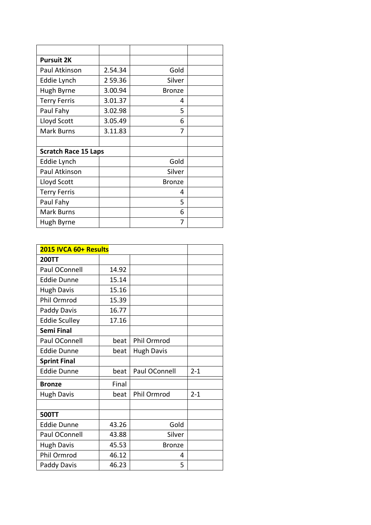| <b>Pursuit 2K</b>           |         |               |  |
|-----------------------------|---------|---------------|--|
| Paul Atkinson               | 2.54.34 | Gold          |  |
| Eddie Lynch                 | 259.36  | Silver        |  |
| Hugh Byrne                  | 3.00.94 | <b>Bronze</b> |  |
| <b>Terry Ferris</b>         | 3.01.37 | 4             |  |
| Paul Fahy                   | 3.02.98 | 5             |  |
| Lloyd Scott                 | 3.05.49 | 6             |  |
| <b>Mark Burns</b>           | 3.11.83 | 7             |  |
|                             |         |               |  |
| <b>Scratch Race 15 Laps</b> |         |               |  |
| Eddie Lynch                 |         | Gold          |  |
| Paul Atkinson               |         | Silver        |  |
| Lloyd Scott                 |         | <b>Bronze</b> |  |
| <b>Terry Ferris</b>         |         | 4             |  |
| Paul Fahy                   |         | 5             |  |
| <b>Mark Burns</b>           |         | 6             |  |
| Hugh Byrne                  |         | 7             |  |

| 2015 IVCA 60+ Results |       |                   |         |
|-----------------------|-------|-------------------|---------|
| <b>200TT</b>          |       |                   |         |
| Paul OConnell         | 14.92 |                   |         |
| <b>Eddie Dunne</b>    | 15.14 |                   |         |
| <b>Hugh Davis</b>     | 15.16 |                   |         |
| Phil Ormrod           | 15.39 |                   |         |
| Paddy Davis           | 16.77 |                   |         |
| <b>Eddie Sculley</b>  | 17.16 |                   |         |
| <b>Semi Final</b>     |       |                   |         |
| Paul OConnell         | beat  | Phil Ormrod       |         |
| <b>Eddie Dunne</b>    | beat  | <b>Hugh Davis</b> |         |
| <b>Sprint Final</b>   |       |                   |         |
| <b>Eddie Dunne</b>    | beat  | Paul OConnell     | $2 - 1$ |
| <b>Bronze</b>         | Final |                   |         |
| <b>Hugh Davis</b>     | beat  | Phil Ormrod       | $2 - 1$ |
|                       |       |                   |         |
| <b>500TT</b>          |       |                   |         |
| <b>Eddie Dunne</b>    | 43.26 | Gold              |         |
| Paul OConnell         | 43.88 | Silver            |         |
| <b>Hugh Davis</b>     | 45.53 | <b>Bronze</b>     |         |
| Phil Ormrod           | 46.12 | 4                 |         |
| Paddy Davis           | 46.23 | 5                 |         |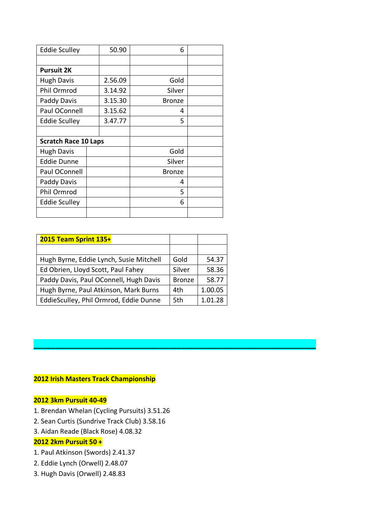| <b>Eddie Sculley</b>        | 50.90   | 6             |  |
|-----------------------------|---------|---------------|--|
|                             |         |               |  |
| <b>Pursuit 2K</b>           |         |               |  |
| <b>Hugh Davis</b>           | 2.56.09 | Gold          |  |
| Phil Ormrod                 | 3.14.92 | Silver        |  |
| Paddy Davis                 | 3.15.30 | <b>Bronze</b> |  |
| Paul OConnell               | 3.15.62 | 4             |  |
| <b>Eddie Sculley</b>        | 3.47.77 | 5             |  |
|                             |         |               |  |
| <b>Scratch Race 10 Laps</b> |         |               |  |
| <b>Hugh Davis</b>           |         | Gold          |  |
| <b>Eddie Dunne</b>          |         | Silver        |  |
| Paul OConnell               |         | <b>Bronze</b> |  |
| Paddy Davis                 |         | 4             |  |
| Phil Ormrod                 |         | 5             |  |
| <b>Eddie Sculley</b>        |         | 6             |  |
|                             |         |               |  |

| 2015 Team Sprint 135+                   |               |         |
|-----------------------------------------|---------------|---------|
|                                         |               |         |
| Hugh Byrne, Eddie Lynch, Susie Mitchell | Gold          | 54.37   |
| Ed Obrien, Lloyd Scott, Paul Fahey      | Silver        | 58.36   |
| Paddy Davis, Paul OConnell, Hugh Davis  | <b>Bronze</b> | 58.77   |
| Hugh Byrne, Paul Atkinson, Mark Burns   | 4th           | 1.00.05 |
| EddieSculley, Phil Ormrod, Eddie Dunne  | 5th           | 1.01.28 |

**\_\_\_\_\_\_\_\_\_\_\_\_\_\_\_\_\_\_\_\_\_\_\_\_\_\_\_\_\_\_\_\_\_\_\_\_\_\_\_\_\_\_\_\_\_\_\_\_\_\_\_\_\_\_\_\_\_\_\_\_\_\_\_\_\_**

# **2012 Irish Masters Track Championship**

## **2012 3km Pursuit 40-49**

- 1. Brendan Whelan (Cycling Pursuits) 3.51.26
- 2. Sean Curtis (Sundrive Track Club) 3.58.16
- 3. Aidan Reade (Black Rose) 4.08.32

# **2012 2km Pursuit 50 +**

- 1. Paul Atkinson (Swords) 2.41.37
- 2. Eddie Lynch (Orwell) 2.48.07
- 3. Hugh Davis (Orwell) 2.48.83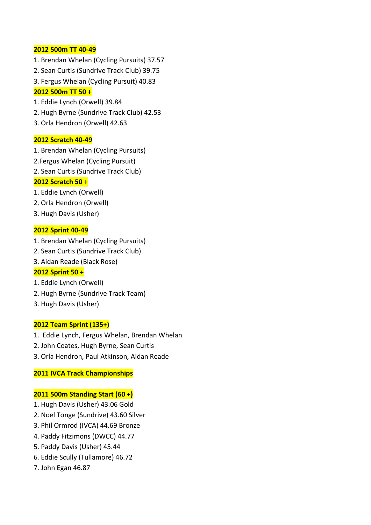#### **2012 500m TT 40-49**

- 1. Brendan Whelan (Cycling Pursuits) 37.57
- 2. Sean Curtis (Sundrive Track Club) 39.75
- 3. Fergus Whelan (Cycling Pursuit) 40.83

# **2012 500m TT 50 +**

- 1. Eddie Lynch (Orwell) 39.84
- 2. Hugh Byrne (Sundrive Track Club) 42.53
- 3. Orla Hendron (Orwell) 42.63

## **2012 Scratch 40-49**

- 1. Brendan Whelan (Cycling Pursuits)
- 2.Fergus Whelan (Cycling Pursuit)
- 2. Sean Curtis (Sundrive Track Club)

# **2012 Scratch 50 +**

- 1. Eddie Lynch (Orwell)
- 2. Orla Hendron (Orwell)
- 3. Hugh Davis (Usher)

## **2012 Sprint 40-49**

- 1. Brendan Whelan (Cycling Pursuits)
- 2. Sean Curtis (Sundrive Track Club)
- 3. Aidan Reade (Black Rose)

# **2012 Sprint 50 +**

- 1. Eddie Lynch (Orwell)
- 2. Hugh Byrne (Sundrive Track Team)
- 3. Hugh Davis (Usher)

#### **2012 Team Sprint (135+)**

- 1. Eddie Lynch, Fergus Whelan, Brendan Whelan
- 2. John Coates, Hugh Byrne, Sean Curtis
- 3. Orla Hendron, Paul Atkinson, Aidan Reade

# **2011 IVCA Track Championships**

# **2011 500m Standing Start (60 +)**

- 1. Hugh Davis (Usher) 43.06 Gold
- 2. Noel Tonge (Sundrive) 43.60 Silver
- 3. Phil Ormrod (IVCA) 44.69 Bronze
- 4. Paddy Fitzimons (DWCC) 44.77
- 5. Paddy Davis (Usher) 45.44
- 6. Eddie Scully (Tullamore) 46.72
- 7. John Egan 46.87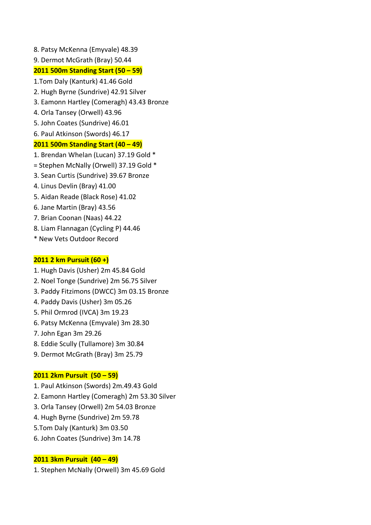8. Patsy McKenna (Emyvale) 48.39 9. Dermot McGrath (Bray) 50.44 **2011 500m Standing Start (50 – 59)** 1.Tom Daly (Kanturk) 41.46 Gold 2. Hugh Byrne (Sundrive) 42.91 Silver 3. Eamonn Hartley (Comeragh) 43.43 Bronze 4. Orla Tansey (Orwell) 43.96 5. John Coates (Sundrive) 46.01 6. Paul Atkinson (Swords) 46.17 **2011 500m Standing Start (40 – 49)** 1. Brendan Whelan (Lucan) 37.19 Gold \* = Stephen McNally (Orwell) 37.19 Gold \* 3. Sean Curtis (Sundrive) 39.67 Bronze 4. Linus Devlin (Bray) 41.00 5. Aidan Reade (Black Rose) 41.02 6. Jane Martin (Bray) 43.56 7. Brian Coonan (Naas) 44.22 8. Liam Flannagan (Cycling P) 44.46

\* New Vets Outdoor Record

# **2011 2 km Pursuit (60 +)**

- 1. Hugh Davis (Usher) 2m 45.84 Gold
- 2. Noel Tonge (Sundrive) 2m 56.75 Silver
- 3. Paddy Fitzimons (DWCC) 3m 03.15 Bronze
- 4. Paddy Davis (Usher) 3m 05.26
- 5. Phil Ormrod (IVCA) 3m 19.23
- 6. Patsy McKenna (Emyvale) 3m 28.30
- 7. John Egan 3m 29.26
- 8. Eddie Scully (Tullamore) 3m 30.84
- 9. Dermot McGrath (Bray) 3m 25.79

#### **2011 2km Pursuit (50 – 59)**

- 1. Paul Atkinson (Swords) 2m.49.43 Gold
- 2. Eamonn Hartley (Comeragh) 2m 53.30 Silver
- 3. Orla Tansey (Orwell) 2m 54.03 Bronze
- 4. Hugh Byrne (Sundrive) 2m 59.78
- 5.Tom Daly (Kanturk) 3m 03.50
- 6. John Coates (Sundrive) 3m 14.78

# **2011 3km Pursuit (40 – 49)**

1. Stephen McNally (Orwell) 3m 45.69 Gold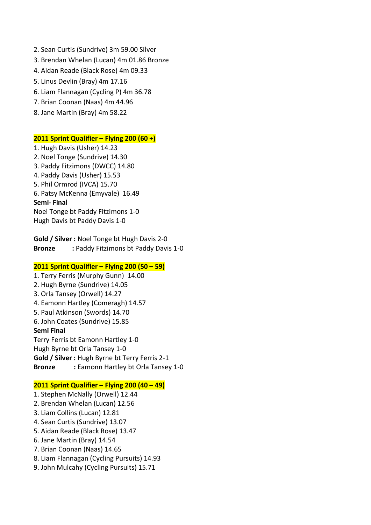- 2. Sean Curtis (Sundrive) 3m 59.00 Silver
- 3. Brendan Whelan (Lucan) 4m 01.86 Bronze
- 4. Aidan Reade (Black Rose) 4m 09.33
- 5. Linus Devlin (Bray) 4m 17.16
- 6. Liam Flannagan (Cycling P) 4m 36.78
- 7. Brian Coonan (Naas) 4m 44.96
- 8. Jane Martin (Bray) 4m 58.22

#### **2011 Sprint Qualifier – Flying 200 (60 +)**

1. Hugh Davis (Usher) 14.23 2. Noel Tonge (Sundrive) 14.30 3. Paddy Fitzimons (DWCC) 14.80 4. Paddy Davis (Usher) 15.53 5. Phil Ormrod (IVCA) 15.70 6. Patsy McKenna (Emyvale) 16.49 **Semi- Final** Noel Tonge bt Paddy Fitzimons 1-0 Hugh Davis bt Paddy Davis 1-0

**Gold / Silver :** Noel Tonge bt Hugh Davis 2-0 **Bronze :** Paddy Fitzimons bt Paddy Davis 1-0

#### **2011 Sprint Qualifier – Flying 200 (50 – 59)**

1. Terry Ferris (Murphy Gunn) 14.00 2. Hugh Byrne (Sundrive) 14.05 3. Orla Tansey (Orwell) 14.27 4. Eamonn Hartley (Comeragh) 14.57 5. Paul Atkinson (Swords) 14.70 6. John Coates (Sundrive) 15.85 **Semi Final** Terry Ferris bt Eamonn Hartley 1-0 Hugh Byrne bt Orla Tansey 1-0 **Gold / Silver :** Hugh Byrne bt Terry Ferris 2-1 **Bronze :** Eamonn Hartley bt Orla Tansey 1-0

#### **2011 Sprint Qualifier – Flying 200 (40 – 49)**

- 1. Stephen McNally (Orwell) 12.44
- 2. Brendan Whelan (Lucan) 12.56
- 3. Liam Collins (Lucan) 12.81
- 4. Sean Curtis (Sundrive) 13.07
- 5. Aidan Reade (Black Rose) 13.47
- 6. Jane Martin (Bray) 14.54
- 7. Brian Coonan (Naas) 14.65
- 8. Liam Flannagan (Cycling Pursuits) 14.93
- 9. John Mulcahy (Cycling Pursuits) 15.71